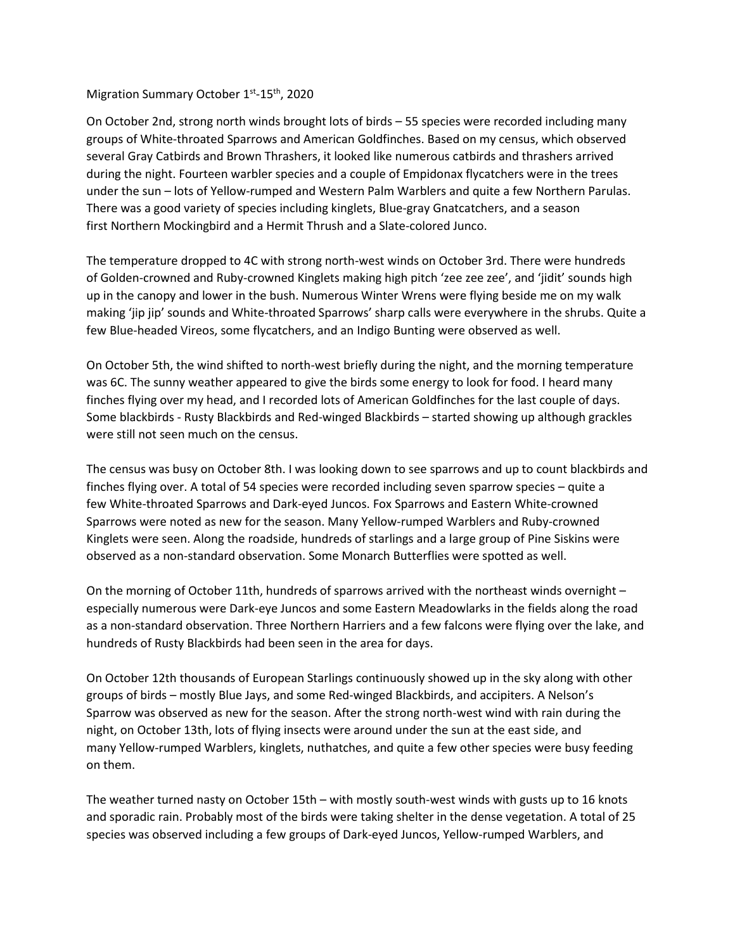## Migration Summary October 1<sup>st</sup>-15<sup>th</sup>, 2020

On October 2nd, strong north winds brought lots of birds – 55 species were recorded including many groups of White-throated Sparrows and American Goldfinches. Based on my census, which observed several Gray Catbirds and Brown Thrashers, it looked like numerous catbirds and thrashers arrived during the night. Fourteen warbler species and a couple of Empidonax flycatchers were in the trees under the sun – lots of Yellow-rumped and Western Palm Warblers and quite a few Northern Parulas. There was a good variety of species including kinglets, Blue-gray Gnatcatchers, and a season first Northern Mockingbird and a Hermit Thrush and a Slate-colored Junco.

The temperature dropped to 4C with strong north-west winds on October 3rd. There were hundreds of Golden-crowned and Ruby-crowned Kinglets making high pitch 'zee zee zee', and 'jidit' sounds high up in the canopy and lower in the bush. Numerous Winter Wrens were flying beside me on my walk making 'jip jip' sounds and White-throated Sparrows' sharp calls were everywhere in the shrubs. Quite a few Blue-headed Vireos, some flycatchers, and an Indigo Bunting were observed as well.

On October 5th, the wind shifted to north-west briefly during the night, and the morning temperature was 6C. The sunny weather appeared to give the birds some energy to look for food. I heard many finches flying over my head, and I recorded lots of American Goldfinches for the last couple of days. Some blackbirds - Rusty Blackbirds and Red-winged Blackbirds – started showing up although grackles were still not seen much on the census.

The census was busy on October 8th. I was looking down to see sparrows and up to count blackbirds and finches flying over. A total of 54 species were recorded including seven sparrow species – quite a few White-throated Sparrows and Dark-eyed Juncos. Fox Sparrows and Eastern White-crowned Sparrows were noted as new for the season. Many Yellow-rumped Warblers and Ruby-crowned Kinglets were seen. Along the roadside, hundreds of starlings and a large group of Pine Siskins were observed as a non-standard observation. Some Monarch Butterflies were spotted as well.

On the morning of October 11th, hundreds of sparrows arrived with the northeast winds overnight – especially numerous were Dark-eye Juncos and some Eastern Meadowlarks in the fields along the road as a non-standard observation. Three Northern Harriers and a few falcons were flying over the lake, and hundreds of Rusty Blackbirds had been seen in the area for days.

On October 12th thousands of European Starlings continuously showed up in the sky along with other groups of birds – mostly Blue Jays, and some Red-winged Blackbirds, and accipiters. A Nelson's Sparrow was observed as new for the season. After the strong north-west wind with rain during the night, on October 13th, lots of flying insects were around under the sun at the east side, and many Yellow-rumped Warblers, kinglets, nuthatches, and quite a few other species were busy feeding on them.

The weather turned nasty on October 15th – with mostly south-west winds with gusts up to 16 knots and sporadic rain. Probably most of the birds were taking shelter in the dense vegetation. A total of 25 species was observed including a few groups of Dark-eyed Juncos, Yellow-rumped Warblers, and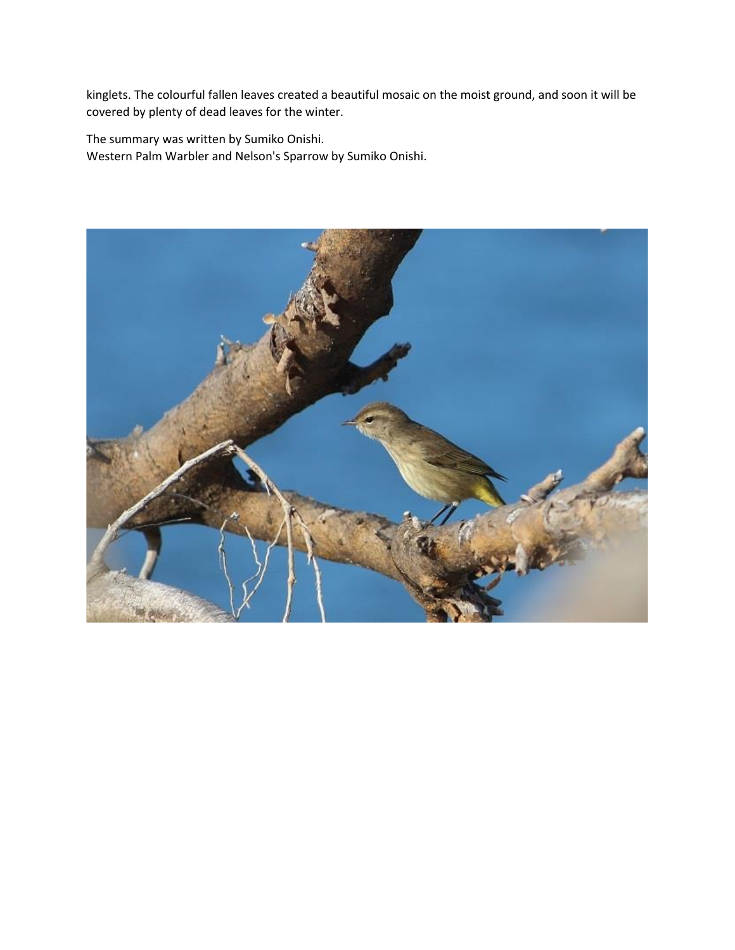kinglets. The colourful fallen leaves created a beautiful mosaic on the moist ground, and soon it will be covered by plenty of dead leaves for the winter.

The summary was written by Sumiko Onishi. Western Palm Warbler and Nelson's Sparrow by Sumiko Onishi.